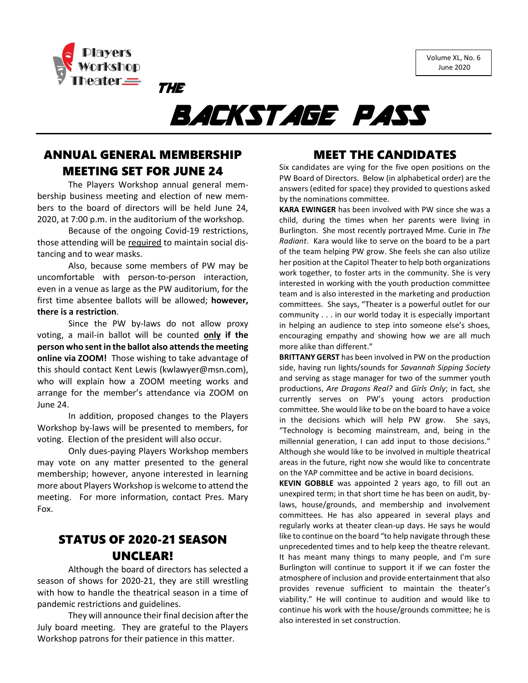



# BACKSTAGE PASS

## ANNUAL GENERAL MEMBERSHIP MEETING SET FOR JUNE 24

THE

The Players Workshop annual general membership business meeting and election of new members to the board of directors will be held June 24, 2020, at 7:00 p.m. in the auditorium of the workshop.

Because of the ongoing Covid-19 restrictions, those attending will be required to maintain social distancing and to wear masks.

Also, because some members of PW may be uncomfortable with person-to-person interaction, even in a venue as large as the PW auditorium, for the first time absentee ballots will be allowed; **however, there is a restriction**.

Since the PW by-laws do not allow proxy voting, a mail-in ballot will be counted **only if the person who sent in the ballot also attends the meeting online via ZOOM!** Those wishing to take advantage of this should contact Kent Lewis (kwlawyer@msn.com), who will explain how a ZOOM meeting works and arrange for the member's attendance via ZOOM on June 24.

In addition, proposed changes to the Players Workshop by-laws will be presented to members, for voting. Election of the president will also occur.

Only dues-paying Players Workshop members may vote on any matter presented to the general membership; however, anyone interested in learning more about Players Workshop is welcome to attend the meeting. For more information, contact Pres. Mary Fox.

## STATUS OF 2020-21 SEASON UNCLEAR!

Although the board of directors has selected a season of shows for 2020-21, they are still wrestling with how to handle the theatrical season in a time of pandemic restrictions and guidelines.

They will announce their final decision after the July board meeting. They are grateful to the Players Workshop patrons for their patience in this matter.

### MEET THE CANDIDATES

Six candidates are vying for the five open positions on the PW Board of Directors. Below (in alphabetical order) are the answers (edited for space) they provided to questions asked by the nominations committee.

**KARA EWINGER** has been involved with PW since she was a child, during the times when her parents were living in Burlington. She most recently portrayed Mme. Curie in *The Radiant*. Kara would like to serve on the board to be a part of the team helping PW grow. She feels she can also utilize her position at the Capitol Theater to help both organizations work together, to foster arts in the community. She is very interested in working with the youth production committee team and is also interested in the marketing and production committees. She says, "Theater is a powerful outlet for our community . . . in our world today it is especially important in helping an audience to step into someone else's shoes, encouraging empathy and showing how we are all much more alike than different."

**BRITTANY GERST** has been involved in PW on the production side, having run lights/sounds for *Savannah Sipping Society* and serving as stage manager for two of the summer youth productions, *Are Dragons Real?* and *Girls Only*; in fact, she currently serves on PW's young actors production committee. She would like to be on the board to have a voice in the decisions which will help PW grow. She says, "Technology is becoming mainstream, and, being in the millennial generation, I can add input to those decisions." Although she would like to be involved in multiple theatrical areas in the future, right now she would like to concentrate on the YAP committee and be active in board decisions.

**KEVIN GOBBLE** was appointed 2 years ago, to fill out an unexpired term; in that short time he has been on audit, bylaws, house/grounds, and membership and involvement committees. He has also appeared in several plays and regularly works at theater clean-up days. He says he would like to continue on the board "to help navigate through these unprecedented times and to help keep the theatre relevant. It has meant many things to many people, and I'm sure Burlington will continue to support it if we can foster the atmosphere of inclusion and provide entertainment that also provides revenue sufficient to maintain the theater's viability." He will continue to audition and would like to continue his work with the house/grounds committee; he is also interested in set construction.